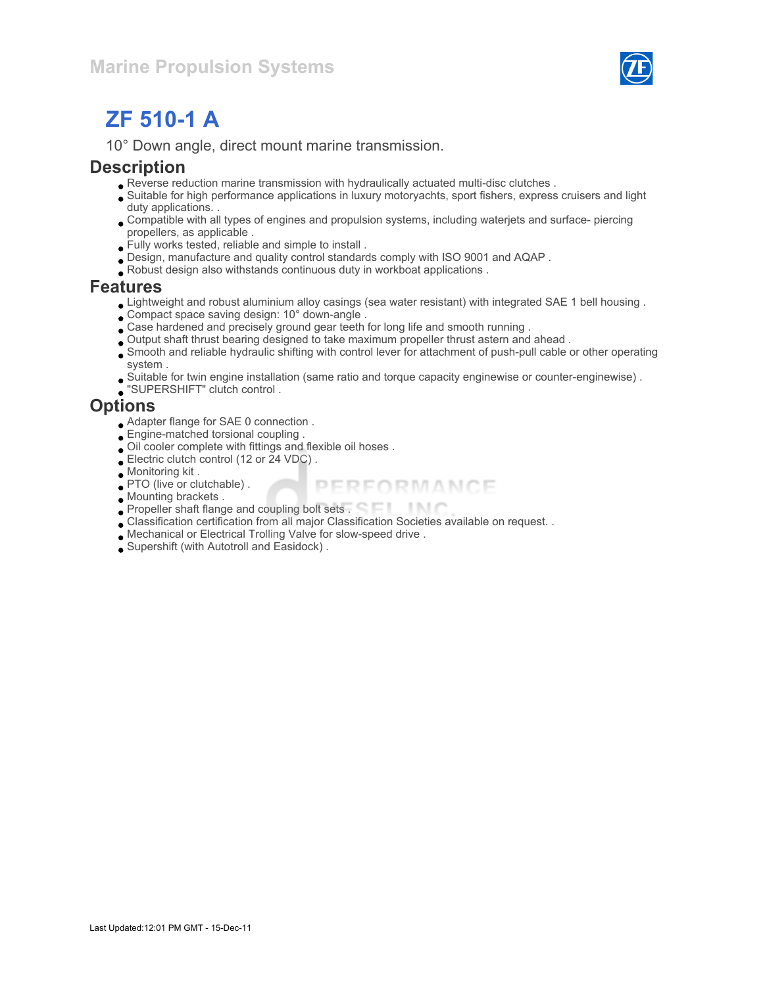

# ZF 510-1 A

10° Down angle, direct mount marine transmission.

#### **Description**

- Reverse reduction marine transmission with hydraulically actuated multi-disc clutches .
- Suitable for high performance applications in luxury motoryachts, sport fishers, express cruisers and light duty applications.
- Compatible with all types of engines and propulsion systems, including waterjets and surface- piercing propellers, as applicable .
- Fully works tested, reliable and simple to install .
- Design, manufacture and quality control standards comply with ISO 9001 and AQAP .
- Robust design also withstands continuous duty in workboat applications .

#### Features

- Lightweight and robust aluminium alloy casings (sea water resistant) with integrated SAE 1 bell housing .
- Compact space saving design: 10° down-angle .
- Case hardened and precisely ground gear teeth for long life and smooth running .
- Output shaft thrust bearing designed to take maximum propeller thrust astern and ahead .
- Smooth and reliable hydraulic shifting with control lever for attachment of push-pull cable or other operating system .
- Suitable for twin engine installation (same ratio and torque capacity enginewise or counter-enginewise) .
- "SUPERSHIFT" clutch control .

#### **Options**

- Adapter flange for SAE 0 connection .
- Engine-matched torsional coupling .
- Oil cooler complete with fittings and flexible oil hoses .
- Electric clutch control (12 or 24 VDC) .
- Monitoring kit .
- PTO (live or clutchable) . PERFORMANCE
- Mounting brackets .
- **Propeller shaft flange and coupling bolt sets . The state of the state of the state of the state of the state of the state of the state of the state of the state of the state of the state of the state of the state of the**
- Classification certification from all major Classification Societies available on request. .
- Mechanical or Electrical Trolling Valve for slow-speed drive .
- Supershift (with Autotroll and Easidock) .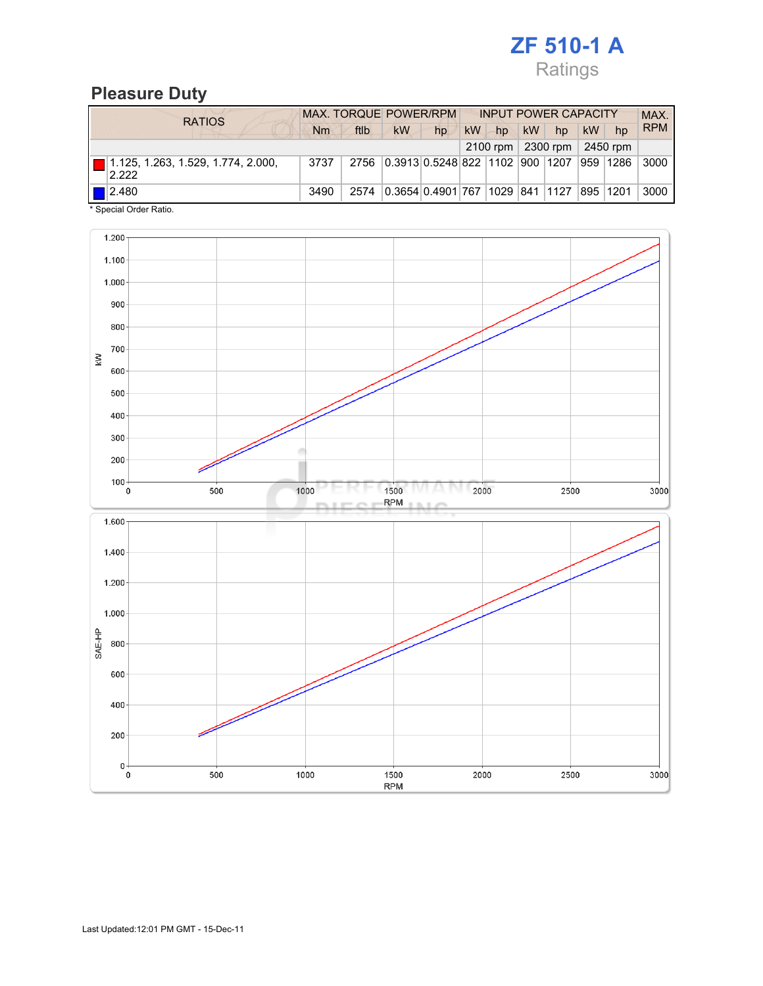# Pleasure Duty

| <b>RATIOS</b>                                            | <b>MAX. TORQUE POWER/RPM</b> |      |                                    |    | <b>INPUT POWER CAPACITY</b> |    |           |                            |           | MAX.       |            |
|----------------------------------------------------------|------------------------------|------|------------------------------------|----|-----------------------------|----|-----------|----------------------------|-----------|------------|------------|
|                                                          | Nm                           | ftlb | <b>kW</b>                          | hp | kW                          | hp | <b>kW</b> | hp                         | <b>kW</b> | hp         | <b>RPM</b> |
|                                                          |                              |      |                                    |    |                             |    |           | 2100 rpm 2300 rpm 2450 rpm |           |            |            |
| $\boxed{ }$ 1.125, 1.263, 1.529, 1.774, 2.000,<br> 2.222 | 3737                         | 2756 | 0.3913 0.5248 822 1102 900 1207    |    |                             |    |           |                            |           | 959   1286 | 3000       |
| $\boxed{\square}$ 2.480                                  | 3490                         | 2574 | 0.3654 0.4901 767  1029  841  1127 |    |                             |    |           |                            |           | 895 1201   | 3000       |

\* Special Order Ratio.

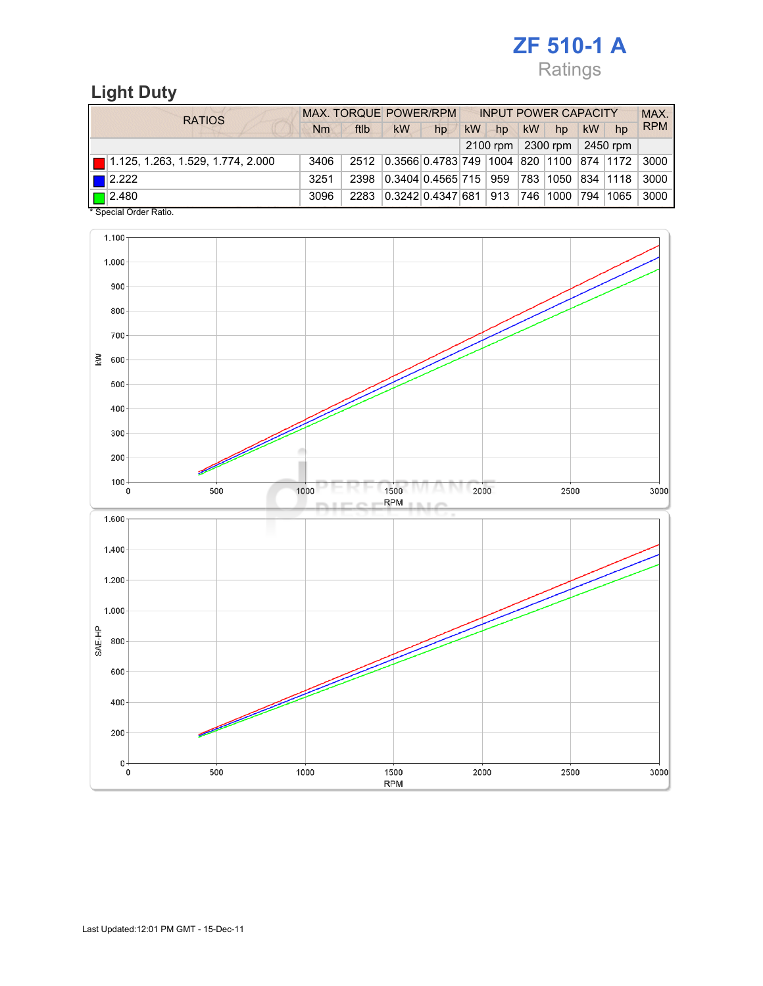## Light Duty

| <b>RATIOS</b>                                 |      | MAX. TORQUE POWER/RPM |                                                   | <b>INPUT POWER CAPACITY</b> |           |    |    |                            |    | MAX. |               |
|-----------------------------------------------|------|-----------------------|---------------------------------------------------|-----------------------------|-----------|----|----|----------------------------|----|------|---------------|
|                                               | Nm   | ftlb                  | kW                                                | hp                          | <b>kW</b> | hp | kW | hp                         | kW | hp   | <b>RPM</b>    |
|                                               |      |                       |                                                   |                             |           |    |    | 2100 rpm 2300 rpm 2450 rpm |    |      |               |
| $\boxed{ }$ 1.125, 1.263, 1.529, 1.774, 2.000 | 3406 |                       | 2512 0.3566 0.4783 749 1004 820 1100 874 1172     |                             |           |    |    |                            |    |      | $\sqrt{3000}$ |
| $\blacksquare$ 2.222                          | 3251 | 2398                  | 0.3404 0.4565 715   959   783   1050   834   1118 |                             |           |    |    |                            |    |      | 3000          |
| $\boxed{ }$ 2.480                             | 3096 | 2283                  | 0.3242 0.4347 681 913                             |                             |           |    |    | 746  1000  794  1065       |    |      | 3000          |

\* Special Order Ratio.

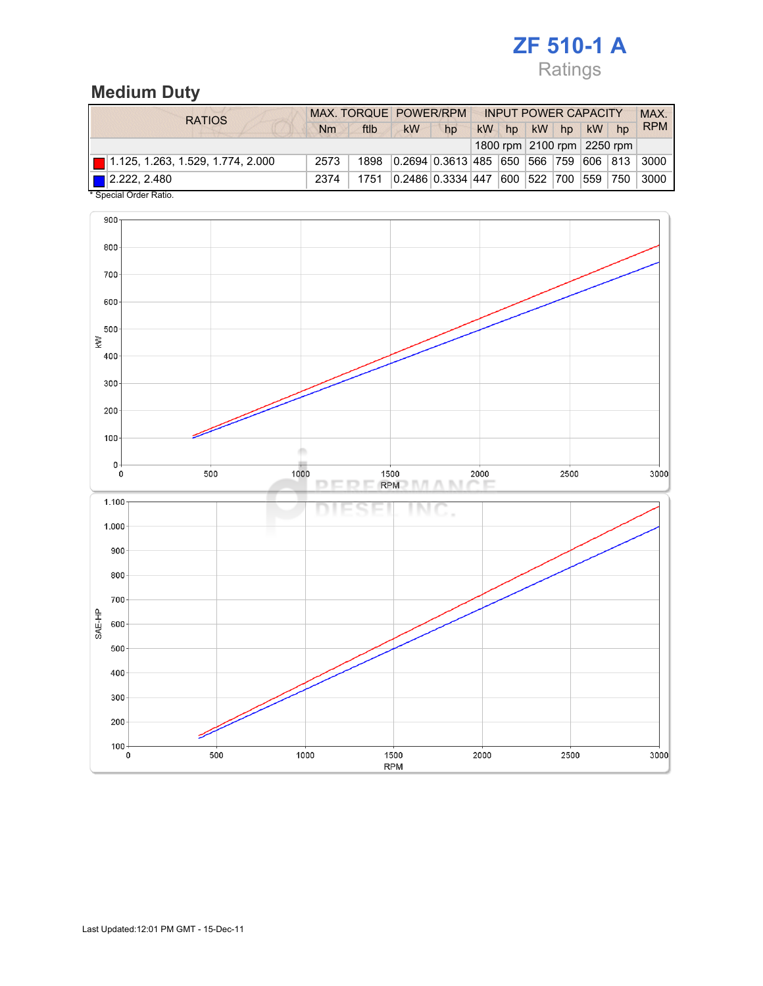### Medium Duty

| <b>RATIOS</b>                                 | MAX. TORQUE POWER/RPM |      |                                       | <b>INPUT POWER CAPACITY</b> |    |    |               |         |         | <b>MAX</b>                 |            |
|-----------------------------------------------|-----------------------|------|---------------------------------------|-----------------------------|----|----|---------------|---------|---------|----------------------------|------------|
|                                               | <b>Nm</b>             | ftlb | <b>kW</b>                             | hp                          | kW | hp |               | $kW$ hp | $kW$ hp |                            | <b>RPM</b> |
|                                               |                       |      |                                       |                             |    |    |               |         |         | 1800 rpm 2100 rpm 2250 rpm |            |
| $\boxed{ }$ 1.125, 1.263, 1.529, 1.774, 2.000 | 2573                  | 1898 | 0.2694 0.3613 485 650 566 759 606 813 |                             |    |    |               |         |         |                            | 3000       |
| $\sqrt{2.222}$ , 2.480                        | 2374                  | 1751 | 0.2486 0.3334 447                     |                             |    |    | 600  522  700 |         | 559     | 750                        | 3000       |
| * Special Order Ratio.                        |                       |      |                                       |                             |    |    |               |         |         |                            |            |

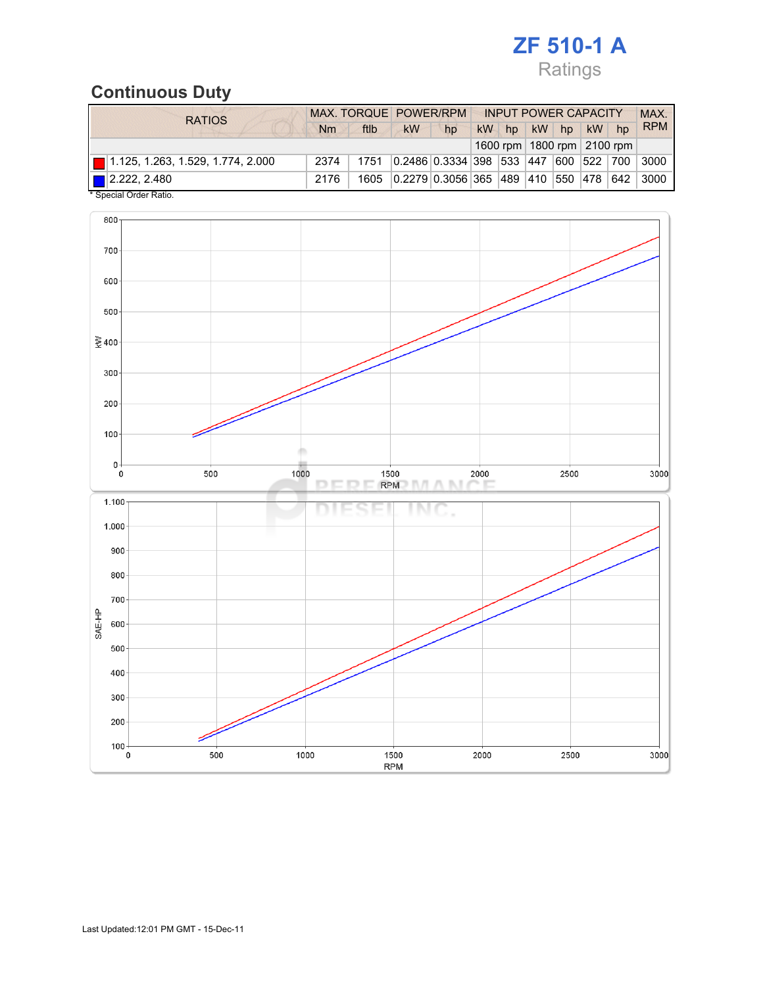### Continuous Duty

| <b>RATIOS</b>                                 | MAX. TORQUE POWER/RPM |      |                                       |    | <b>INPUT POWER CAPACITY</b> |    |  |         |         |                                | MAX.       |
|-----------------------------------------------|-----------------------|------|---------------------------------------|----|-----------------------------|----|--|---------|---------|--------------------------------|------------|
|                                               | <b>Nm</b>             | ftlb | <b>kW</b>                             | hp | kW                          | hp |  | $kW$ hp | $kW$ hp |                                | <b>RPM</b> |
|                                               |                       |      |                                       |    |                             |    |  |         |         | 1600 rpm   1800 rpm   2100 rpm |            |
| $\boxed{ }$ 1.125, 1.263, 1.529, 1.774, 2.000 | 2374                  | 1751 | 0.2486 0.3334 398 533 447 600 522 700 |    |                             |    |  |         |         |                                | 3000       |
| $\Box$ 2.222, 2.480                           | 2176                  | 1605 | 0.2279 0.3056 365 489 410 550 478     |    |                             |    |  |         |         | 642                            | 3000       |
| * Special Order Ratio.                        |                       |      |                                       |    |                             |    |  |         |         |                                |            |

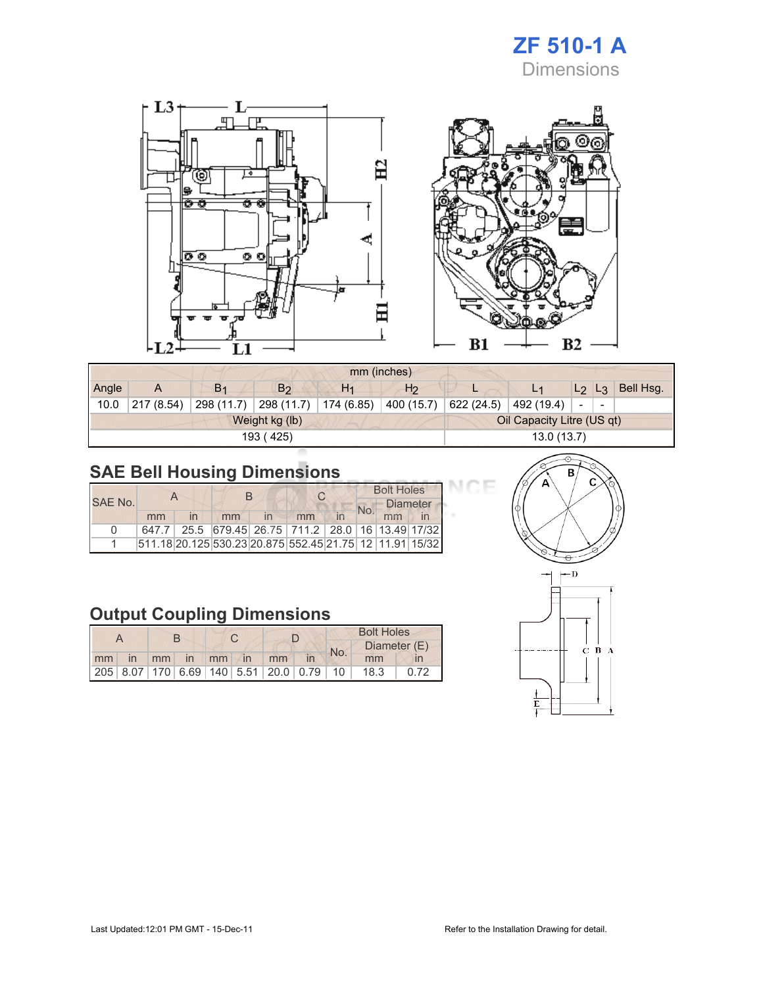



|       | mm (inches) |                |                |                            |                |                          |                          |                |       |           |
|-------|-------------|----------------|----------------|----------------------------|----------------|--------------------------|--------------------------|----------------|-------|-----------|
| Angle |             | B <sub>1</sub> | B <sub>2</sub> | H <sub>1</sub>             | H <sub>2</sub> |                          |                          | L <sub>2</sub> | $L_3$ | Bell Hsq. |
| 10.0  | 217 (8.54)  | 298 (11.7)     | 400 (15.7)     | 622 (24.5)                 | 492 (19.4)     | $\overline{\phantom{a}}$ | $\overline{\phantom{a}}$ |                |       |           |
|       |             |                |                | Oil Capacity Litre (US qt) |                |                          |                          |                |       |           |
|       |             |                | 193 (425)      |                            | 13.0(13.7)     |                          |                          |                |       |           |

J C 1F

## SAE Bell Housing Dimensions

|         |                                                         |                |                                                   |  | $\cap$ |  | <b>Bolt Holes</b> |                 |  |  |
|---------|---------------------------------------------------------|----------------|---------------------------------------------------|--|--------|--|-------------------|-----------------|--|--|
| SAF No. |                                                         |                |                                                   |  |        |  |                   | <b>Diameter</b> |  |  |
|         | mm                                                      | $\overline{m}$ | mm                                                |  | mm     |  | No.               | mm              |  |  |
| n       |                                                         |                | 647.7 25.5 679.45 26.75 711.2 28.0 16 13.49 17/32 |  |        |  |                   |                 |  |  |
|         | 511.18 20.125 530.23 20.875 552.45 21.75 12 11.91 15/32 |                |                                                   |  |        |  |                   |                 |  |  |

## Output Coupling Dimensions

|  | R |  |                      |  |     | <b>Bolt Holes</b>                            |      |  |
|--|---|--|----------------------|--|-----|----------------------------------------------|------|--|
|  |   |  |                      |  | No. | Diameter (E)                                 |      |  |
|  |   |  | mm in mm in mm in mm |  |     | mm                                           |      |  |
|  |   |  |                      |  |     | 205 8.07 170 6.69 140 5.51 20.0 0.79 10 18.3 | 0.72 |  |



 $B<sub>2</sub>$